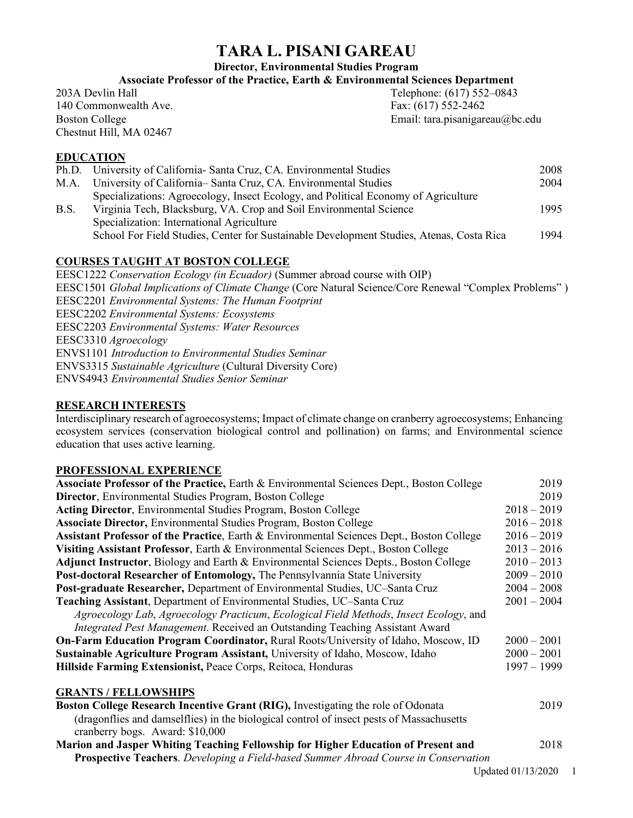# **TARA L. PISANI GAREAU**

**Director, Environmental Studies Program**

**Associate Professor of the Practice, Earth & Environmental Sciences Department**

203A Devlin Hall Telephone: (617) 552–0843 140 Commonwealth Ave. Fax: (617) 552-2462 Chestnut Hill, MA 02467

Boston College Email: tara.pisanigareau@bc.edu

# **EDUCATION**

|      | Ph.D. University of California- Santa Cruz, CA. Environmental Studies                    | 2008 |
|------|------------------------------------------------------------------------------------------|------|
| M.A. | University of California– Santa Cruz, CA. Environmental Studies                          | 2004 |
|      | Specializations: Agroecology, Insect Ecology, and Political Economy of Agriculture       |      |
| B.S. | Virginia Tech, Blacksburg, VA. Crop and Soil Environmental Science                       | 1995 |
|      | Specialization: International Agriculture                                                |      |
|      | School For Field Studies, Center for Sustainable Development Studies, Atenas, Costa Rica | 1994 |
|      |                                                                                          |      |

# **COURSES TAUGHT AT BOSTON COLLEGE**

EESC1222 *Conservation Ecology (in Ecuador)* (Summer abroad course with OIP) EESC1501 *Global Implications of Climate Change* (Core Natural Science/Core Renewal "Complex Problems" ) EESC2201 *Environmental Systems: The Human Footprint* EESC2202 *Environmental Systems: Ecosystems* EESC2203 *Environmental Systems: Water Resources* EESC3310 *Agroecology* ENVS1101 *Introduction to Environmental Studies Seminar* ENVS3315 *Sustainable Agriculture* (Cultural Diversity Core) ENVS4943 *Environmental Studies Senior Seminar*

# **RESEARCH INTERESTS**

Interdisciplinary research of agroecosystems; Impact of climate change on cranberry agroecosystems; Enhancing ecosystem services (conservation biological control and pollination) on farms; and Environmental science education that uses active learning.

## **PROFESSIONAL EXPERIENCE**

| <b>Associate Professor of the Practice, Earth &amp; Environmental Sciences Dept., Boston College</b> |               |
|------------------------------------------------------------------------------------------------------|---------------|
| Director, Environmental Studies Program, Boston College                                              |               |
| Acting Director, Environmental Studies Program, Boston College                                       |               |
| <b>Associate Director, Environmental Studies Program, Boston College</b>                             |               |
| <b>Assistant Professor of the Practice, Earth &amp; Environmental Sciences Dept., Boston College</b> |               |
| Visiting Assistant Professor, Earth & Environmental Sciences Dept., Boston College                   | $2013 - 2016$ |
| Adjunct Instructor, Biology and Earth & Environmental Sciences Depts., Boston College                | $2010 - 2013$ |
| Post-doctoral Researcher of Entomology, The Pennsylvannia State University                           |               |
| Post-graduate Researcher, Department of Environmental Studies, UC-Santa Cruz                         | $2004 - 2008$ |
| Teaching Assistant, Department of Environmental Studies, UC-Santa Cruz                               |               |
| Agroecology Lab, Agroecology Practicum, Ecological Field Methods, Insect Ecology, and                |               |
| Integrated Pest Management. Received an Outstanding Teaching Assistant Award                         |               |
| <b>On-Farm Education Program Coordinator, Rural Roots/University of Idaho, Moscow, ID</b>            |               |
| Sustainable Agriculture Program Assistant, University of Idaho, Moscow, Idaho                        |               |
| Hillside Farming Extensionist, Peace Corps, Reitoca, Honduras                                        |               |
|                                                                                                      |               |
| <b>GRANTS / FELLOWSHIPS</b>                                                                          | 2019          |
| Boston College Research Incentive Grant (RIG), Investigating the role of Odonata                     |               |
| (dragonflies and damselflies) in the biological control of insect pests of Massachusetts             |               |
| cranberry bogs. Award: \$10,000                                                                      |               |
| Marion and Jasper Whiting Teaching Fellowship for Higher Education of Present and                    |               |
| <b>Prospective Teachers</b> . Developing a Field-based Summer Abroad Course in Conservation          |               |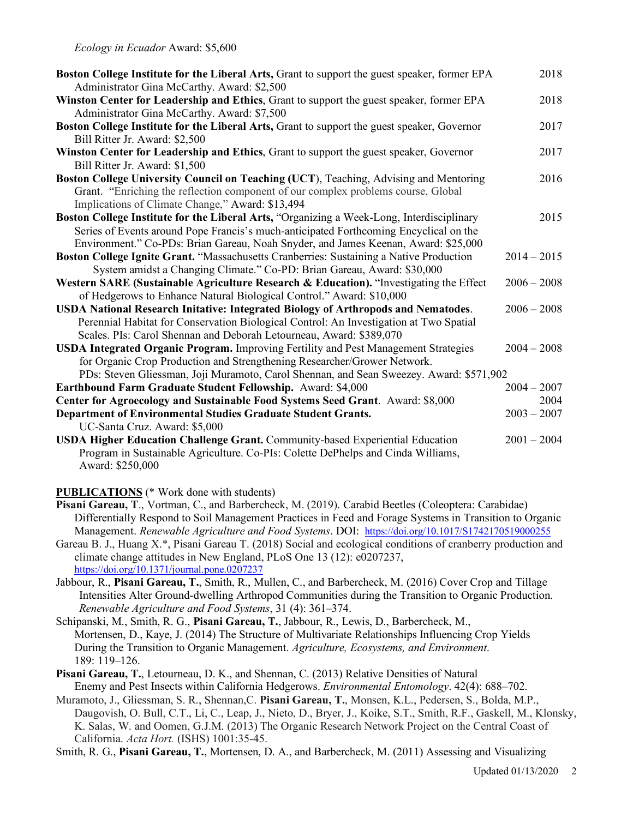| Boston College Institute for the Liberal Arts, Grant to support the guest speaker, former EPA<br>Administrator Gina McCarthy. Award: \$2,500 | 2018          |
|----------------------------------------------------------------------------------------------------------------------------------------------|---------------|
| Winston Center for Leadership and Ethics, Grant to support the guest speaker, former EPA<br>Administrator Gina McCarthy. Award: \$7,500      | 2018          |
| Boston College Institute for the Liberal Arts, Grant to support the guest speaker, Governor                                                  | 2017          |
| Bill Ritter Jr. Award: \$2,500                                                                                                               |               |
| Winston Center for Leadership and Ethics, Grant to support the guest speaker, Governor<br>Bill Ritter Jr. Award: \$1,500                     | 2017          |
| Boston College University Council on Teaching (UCT), Teaching, Advising and Mentoring                                                        | 2016          |
| Grant. "Enriching the reflection component of our complex problems course, Global<br>Implications of Climate Change," Award: \$13,494        |               |
| Boston College Institute for the Liberal Arts, "Organizing a Week-Long, Interdisciplinary                                                    | 2015          |
| Series of Events around Pope Francis's much-anticipated Forthcoming Encyclical on the                                                        |               |
| Environment." Co-PDs: Brian Gareau, Noah Snyder, and James Keenan, Award: \$25,000                                                           |               |
| Boston College Ignite Grant. "Massachusetts Cranberries: Sustaining a Native Production                                                      | $2014 - 2015$ |
| System amidst a Changing Climate." Co-PD: Brian Gareau, Award: \$30,000                                                                      |               |
| Western SARE (Sustainable Agriculture Research & Education). "Investigating the Effect                                                       | $2006 - 2008$ |
| of Hedgerows to Enhance Natural Biological Control." Award: \$10,000                                                                         |               |
| USDA National Research Initative: Integrated Biology of Arthropods and Nematodes.                                                            | $2006 - 2008$ |
| Perennial Habitat for Conservation Biological Control: An Investigation at Two Spatial                                                       |               |
| Scales. PIs: Carol Shennan and Deborah Letourneau, Award: \$389,070                                                                          |               |
| <b>USDA Integrated Organic Program.</b> Improving Fertility and Pest Management Strategies                                                   | $2004 - 2008$ |
| for Organic Crop Production and Strengthening Researcher/Grower Network.                                                                     |               |
| PDs: Steven Gliessman, Joji Muramoto, Carol Shennan, and Sean Sweezey. Award: \$571,902                                                      |               |
| Earthbound Farm Graduate Student Fellowship. Award: \$4,000                                                                                  | $2004 - 2007$ |
| Center for Agroecology and Sustainable Food Systems Seed Grant. Award: \$8,000                                                               | 2004          |
| Department of Environmental Studies Graduate Student Grants.                                                                                 | $2003 - 2007$ |
| UC-Santa Cruz. Award: \$5,000                                                                                                                |               |
| <b>USDA Higher Education Challenge Grant.</b> Community-based Experiential Education                                                         | $2001 - 2004$ |
| Program in Sustainable Agriculture. Co-PIs: Colette DePhelps and Cinda Williams,                                                             |               |
| Award: \$250,000                                                                                                                             |               |

**PUBLICATIONS** (\* Work done with students)

- **Pisani Gareau, T**., Vortman, C., and Barbercheck, M. (2019). Carabid Beetles (Coleoptera: Carabidae) Differentially Respond to Soil Management Practices in Feed and Forage Systems in Transition to Organic Management. *Renewable Agriculture and Food Systems*. DOI: https://doi.org/10.1017/S1742170519000255
- Gareau B. J., Huang X.\*, Pisani Gareau T. (2018) Social and ecological conditions of cranberry production and climate change attitudes in New England, PLoS One 13 (12): e0207237, https://doi.org/10.1371/journal.pone.0207237
- Jabbour, R., **Pisani Gareau, T.**, Smith, R., Mullen, C., and Barbercheck, M. (2016) Cover Crop and Tillage Intensities Alter Ground-dwelling Arthropod Communities during the Transition to Organic Production. *Renewable Agriculture and Food Systems*, 31 (4): 361–374.
- Schipanski, M., Smith, R. G., **Pisani Gareau, T.**, Jabbour, R., Lewis, D., Barbercheck, M., Mortensen, D., Kaye, J. (2014) The Structure of Multivariate Relationships Influencing Crop Yields During the Transition to Organic Management. *Agriculture, Ecosystems, and Environment*. 189: 119–126.
- **Pisani Gareau, T.**, Letourneau, D. K., and Shennan, C. (2013) Relative Densities of Natural Enemy and Pest Insects within California Hedgerows. *Environmental Entomology*. 42(4): 688–702.
- Muramoto, J., Gliessman, S. R., Shennan,C. **Pisani Gareau, T.**, Monsen, K.L., Pedersen, S., Bolda, M.P., Daugovish, O. Bull, C.T., Li, C., Leap, J., Nieto, D., Bryer, J., Koike, S.T., Smith, R.F., Gaskell, M., Klonsky, K. Salas, W. and Oomen, G.J.M. (2013) The Organic Research Network Project on the Central Coast of California. *Acta Hort.* (ISHS) 1001:35-45.

Smith, R. G., **Pisani Gareau, T.**, Mortensen, D. A., and Barbercheck, M. (2011) Assessing and Visualizing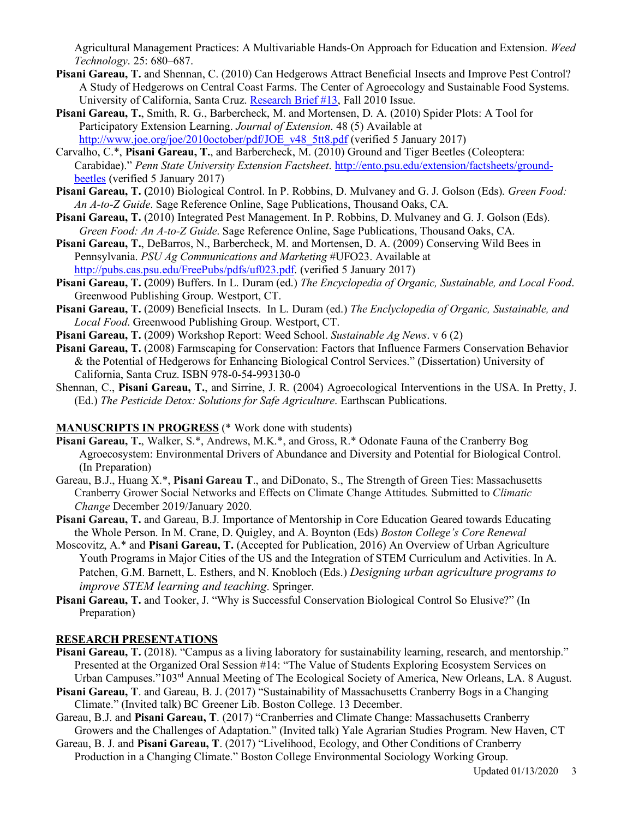Agricultural Management Practices: A Multivariable Hands-On Approach for Education and Extension. *Weed Technology*. 25: 680–687.

- **Pisani Gareau, T.** and Shennan, C. (2010) Can Hedgerows Attract Beneficial Insects and Improve Pest Control? A Study of Hedgerows on Central Coast Farms. The Center of Agroecology and Sustainable Food Systems. University of California, Santa Cruz. Research Brief #13, Fall 2010 Issue.
- **Pisani Gareau, T.**, Smith, R. G., Barbercheck, M. and Mortensen, D. A. (2010) Spider Plots: A Tool for Participatory Extension Learning. *Journal of Extension*. 48 (5) Available at http://www.joe.org/joe/2010october/pdf/JOE\_v48\_5tt8.pdf (verified 5 January 2017)
- Carvalho, C.\*, **Pisani Gareau, T.**, and Barbercheck, M. (2010) Ground and Tiger Beetles (Coleoptera: Carabidae)." *Penn State University Extension Factsheet*. http://ento.psu.edu/extension/factsheets/groundbeetles (verified 5 January 2017)
- **Pisani Gareau, T. (**2010) Biological Control. In P. Robbins, D. Mulvaney and G. J. Golson (Eds). *Green Food: An A-to-Z Guide*. Sage Reference Online, Sage Publications, Thousand Oaks, CA.
- **Pisani Gareau, T.** (2010) Integrated Pest Management. In P. Robbins, D. Mulvaney and G. J. Golson (Eds). *Green Food: An A-to-Z Guide*. Sage Reference Online, Sage Publications, Thousand Oaks, CA.
- **Pisani Gareau, T.**, DeBarros, N., Barbercheck, M. and Mortensen, D. A. (2009) Conserving Wild Bees in Pennsylvania. *PSU Ag Communications and Marketing* #UFO23. Available at http://pubs.cas.psu.edu/FreePubs/pdfs/uf023.pdf. (verified 5 January 2017)
- **Pisani Gareau, T. (**2009) Buffers. In L. Duram (ed.) *The Encyclopedia of Organic, Sustainable, and Local Food*. Greenwood Publishing Group. Westport, CT.
- **Pisani Gareau, T.** (2009) Beneficial Insects. In L. Duram (ed.) *The Enclyclopedia of Organic, Sustainable, and Local Food*. Greenwood Publishing Group. Westport, CT.
- **Pisani Gareau, T.** (2009) Workshop Report: Weed School. *Sustainable Ag News*. v 6 (2)
- **Pisani Gareau, T.** (2008) Farmscaping for Conservation: Factors that Influence Farmers Conservation Behavior & the Potential of Hedgerows for Enhancing Biological Control Services." (Dissertation) University of California, Santa Cruz. ISBN 978-0-54-993130-0
- Shennan, C., **Pisani Gareau, T.**, and Sirrine, J. R. (2004) Agroecological Interventions in the USA. In Pretty, J. (Ed.) *The Pesticide Detox: Solutions for Safe Agriculture*. Earthscan Publications.

#### **MANUSCRIPTS IN PROGRESS** (\* Work done with students)

- **Pisani Gareau, T.**, Walker, S.\*, Andrews, M.K.\*, and Gross, R.\* Odonate Fauna of the Cranberry Bog Agroecosystem: Environmental Drivers of Abundance and Diversity and Potential for Biological Control. (In Preparation)
- Gareau, B.J., Huang X.\*, **Pisani Gareau T**., and DiDonato, S., The Strength of Green Ties: Massachusetts Cranberry Grower Social Networks and Effects on Climate Change Attitudes*.* Submitted to *Climatic Change* December 2019/January 2020.
- **Pisani Gareau, T.** and Gareau, B.J. Importance of Mentorship in Core Education Geared towards Educating the Whole Person. In M. Crane, D. Quigley, and A. Boynton (Eds) *Boston College's Core Renewal*
- Moscovitz, A.\* and **Pisani Gareau, T.** (Accepted for Publication, 2016) An Overview of Urban Agriculture Youth Programs in Major Cities of the US and the Integration of STEM Curriculum and Activities. In A. Patchen, G.M. Barnett, L. Esthers, and N. Knobloch (Eds.) *Designing urban agriculture programs to improve STEM learning and teaching*. Springer.
- **Pisani Gareau, T.** and Tooker, J. "Why is Successful Conservation Biological Control So Elusive?" (In Preparation)

#### **RESEARCH PRESENTATIONS**

- **Pisani Gareau, T.** (2018). "Campus as a living laboratory for sustainability learning, research, and mentorship." Presented at the Organized Oral Session #14: "The Value of Students Exploring Ecosystem Services on Urban Campuses."103<sup>rd</sup> Annual Meeting of The Ecological Society of America, New Orleans, LA. 8 August.
- **Pisani Gareau, T**. and Gareau, B. J. (2017) "Sustainability of Massachusetts Cranberry Bogs in a Changing Climate." (Invited talk) BC Greener Lib. Boston College. 13 December.
- Gareau, B.J. and **Pisani Gareau, T**. (2017) "Cranberries and Climate Change: Massachusetts Cranberry Growers and the Challenges of Adaptation." (Invited talk) Yale Agrarian Studies Program. New Haven, CT
- Gareau, B. J. and **Pisani Gareau, T**. (2017) "Livelihood, Ecology, and Other Conditions of Cranberry Production in a Changing Climate." Boston College Environmental Sociology Working Group.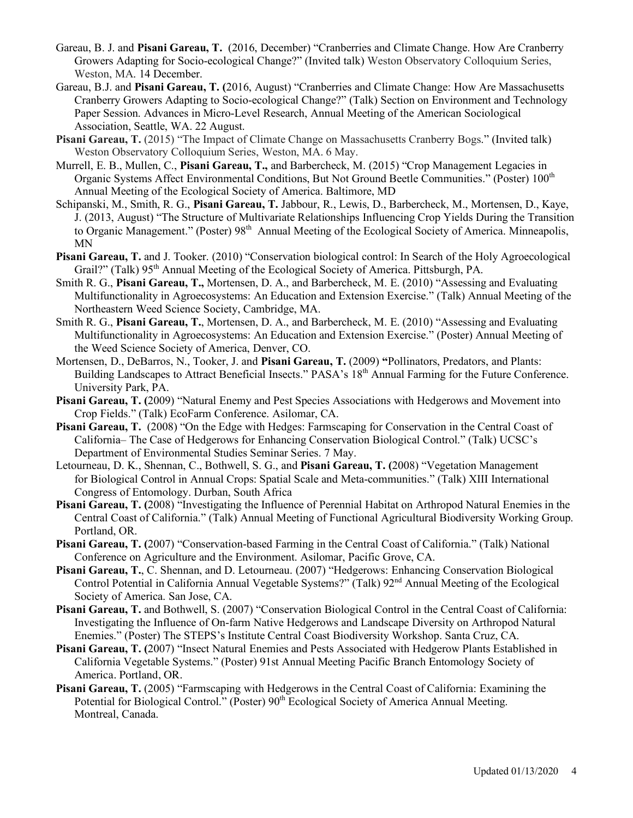- Gareau, B. J. and **Pisani Gareau, T.** (2016, December) "Cranberries and Climate Change. How Are Cranberry Growers Adapting for Socio-ecological Change?" (Invited talk) Weston Observatory Colloquium Series, Weston, MA. 14 December.
- Gareau, B.J. and **Pisani Gareau, T. (**2016, August) "Cranberries and Climate Change: How Are Massachusetts Cranberry Growers Adapting to Socio-ecological Change?" (Talk) Section on Environment and Technology Paper Session. Advances in Micro-Level Research, Annual Meeting of the American Sociological Association, Seattle, WA. 22 August.
- **Pisani Gareau, T.** (2015) "The Impact of Climate Change on Massachusetts Cranberry Bogs." (Invited talk) Weston Observatory Colloquium Series, Weston, MA. 6 May.
- Murrell, E. B., Mullen, C., **Pisani Gareau, T.,** and Barbercheck, M. (2015) "Crop Management Legacies in Organic Systems Affect Environmental Conditions, But Not Ground Beetle Communities." (Poster) 100th Annual Meeting of the Ecological Society of America. Baltimore, MD
- Schipanski, M., Smith, R. G., **Pisani Gareau, T.** Jabbour, R., Lewis, D., Barbercheck, M., Mortensen, D., Kaye, J. (2013, August) "The Structure of Multivariate Relationships Influencing Crop Yields During the Transition to Organic Management." (Poster) 98<sup>th</sup> Annual Meeting of the Ecological Society of America. Minneapolis, MN
- **Pisani Gareau, T.** and J. Tooker. (2010) "Conservation biological control: In Search of the Holy Agroecological Grail?" (Talk) 95<sup>th</sup> Annual Meeting of the Ecological Society of America. Pittsburgh, PA.
- Smith R. G., **Pisani Gareau, T.,** Mortensen, D. A., and Barbercheck, M. E. (2010) "Assessing and Evaluating Multifunctionality in Agroecosystems: An Education and Extension Exercise." (Talk) Annual Meeting of the Northeastern Weed Science Society, Cambridge, MA.
- Smith R. G., **Pisani Gareau, T.**, Mortensen, D. A., and Barbercheck, M. E. (2010) "Assessing and Evaluating Multifunctionality in Agroecosystems: An Education and Extension Exercise." (Poster) Annual Meeting of the Weed Science Society of America, Denver, CO.
- Mortensen, D., DeBarros, N., Tooker, J. and **Pisani Gareau, T.** (2009) **"**Pollinators, Predators, and Plants: Building Landscapes to Attract Beneficial Insects." PASA's 18<sup>th</sup> Annual Farming for the Future Conference. University Park, PA.
- **Pisani Gareau, T. (**2009) "Natural Enemy and Pest Species Associations with Hedgerows and Movement into Crop Fields." (Talk) EcoFarm Conference. Asilomar, CA.
- **Pisani Gareau, T.** (2008) "On the Edge with Hedges: Farmscaping for Conservation in the Central Coast of California– The Case of Hedgerows for Enhancing Conservation Biological Control." (Talk) UCSC's Department of Environmental Studies Seminar Series. 7 May.
- Letourneau, D. K., Shennan, C., Bothwell, S. G., and **Pisani Gareau, T. (**2008) "Vegetation Management for Biological Control in Annual Crops: Spatial Scale and Meta-communities." (Talk) XIII International Congress of Entomology. Durban, South Africa
- **Pisani Gareau, T. (**2008) "Investigating the Influence of Perennial Habitat on Arthropod Natural Enemies in the Central Coast of California." (Talk) Annual Meeting of Functional Agricultural Biodiversity Working Group. Portland, OR.
- **Pisani Gareau, T. (**2007) "Conservation-based Farming in the Central Coast of California." (Talk) National Conference on Agriculture and the Environment. Asilomar, Pacific Grove, CA.
- **Pisani Gareau, T.**, C. Shennan, and D. Letourneau. (2007) "Hedgerows: Enhancing Conservation Biological Control Potential in California Annual Vegetable Systems?" (Talk) 92<sup>nd</sup> Annual Meeting of the Ecological Society of America. San Jose, CA.
- **Pisani Gareau, T.** and Bothwell, S. (2007) "Conservation Biological Control in the Central Coast of California: Investigating the Influence of On-farm Native Hedgerows and Landscape Diversity on Arthropod Natural Enemies." (Poster) The STEPS's Institute Central Coast Biodiversity Workshop. Santa Cruz, CA.
- **Pisani Gareau, T. (**2007) "Insect Natural Enemies and Pests Associated with Hedgerow Plants Established in California Vegetable Systems." (Poster) 91st Annual Meeting Pacific Branch Entomology Society of America. Portland, OR.
- **Pisani Gareau, T.** (2005) "Farmscaping with Hedgerows in the Central Coast of California: Examining the Potential for Biological Control." (Poster) 90<sup>th</sup> Ecological Society of America Annual Meeting. Montreal, Canada.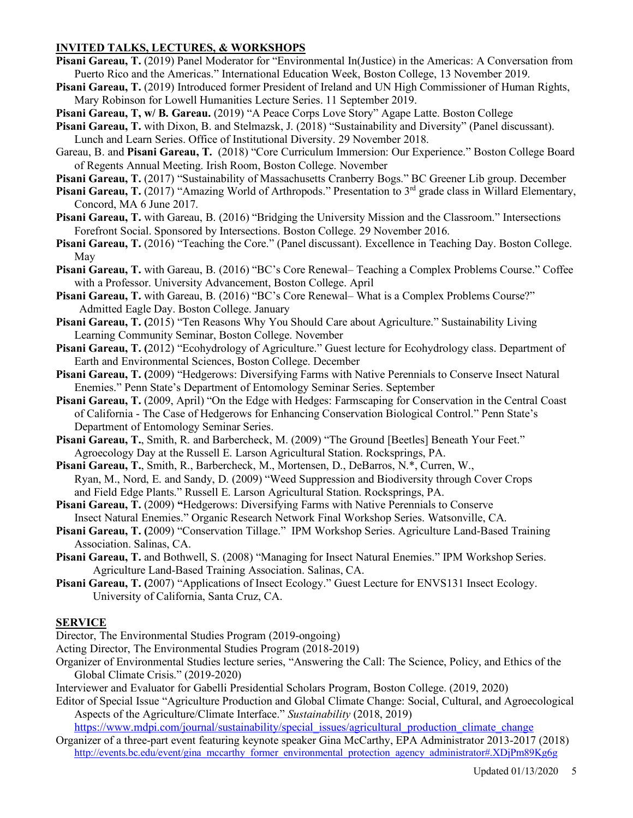## **INVITED TALKS, LECTURES, & WORKSHOPS**

- Pisani Gareau, T. (2019) Panel Moderator for "Environmental In(Justice) in the Americas: A Conversation from Puerto Rico and the Americas." International Education Week, Boston College, 13 November 2019.
- **Pisani Gareau, T.** (2019) Introduced former President of Ireland and UN High Commissioner of Human Rights, Mary Robinson for Lowell Humanities Lecture Series. 11 September 2019.
- **Pisani Gareau, T, w/ B. Gareau.** (2019) "A Peace Corps Love Story" Agape Latte. Boston College
- **Pisani Gareau, T.** with Dixon, B. and Stelmazsk, J. (2018) "Sustainability and Diversity" (Panel discussant). Lunch and Learn Series. Office of Institutional Diversity. 29 November 2018.
- Gareau, B. and **Pisani Gareau, T.** (2018) "Core Curriculum Immersion: Our Experience." Boston College Board of Regents Annual Meeting. Irish Room, Boston College. November
- **Pisani Gareau, T.** (2017) "Sustainability of Massachusetts Cranberry Bogs." BC Greener Lib group. December
- Pisani Gareau, T. (2017) "Amazing World of Arthropods." Presentation to 3<sup>rd</sup> grade class in Willard Elementary, Concord, MA 6 June 2017.
- **Pisani Gareau, T.** with Gareau, B. (2016) "Bridging the University Mission and the Classroom." Intersections Forefront Social. Sponsored by Intersections. Boston College. 29 November 2016.
- **Pisani Gareau, T.** (2016) "Teaching the Core." (Panel discussant). Excellence in Teaching Day. Boston College. May
- **Pisani Gareau, T.** with Gareau, B. (2016) "BC's Core Renewal– Teaching a Complex Problems Course." Coffee with a Professor. University Advancement, Boston College. April
- **Pisani Gareau, T.** with Gareau, B. (2016) "BC's Core Renewal– What is a Complex Problems Course?" Admitted Eagle Day. Boston College. January
- **Pisani Gareau, T. (**2015) "Ten Reasons Why You Should Care about Agriculture." Sustainability Living Learning Community Seminar, Boston College. November
- **Pisani Gareau, T. (**2012) "Ecohydrology of Agriculture." Guest lecture for Ecohydrology class. Department of Earth and Environmental Sciences, Boston College. December
- **Pisani Gareau, T. (**2009) "Hedgerows: Diversifying Farms with Native Perennials to Conserve Insect Natural Enemies." Penn State's Department of Entomology Seminar Series. September
- **Pisani Gareau, T.** (2009, April) "On the Edge with Hedges: Farmscaping for Conservation in the Central Coast of California - The Case of Hedgerows for Enhancing Conservation Biological Control." Penn State's Department of Entomology Seminar Series.
- Pisani Gareau, T., Smith, R. and Barbercheck, M. (2009) "The Ground [Beetles] Beneath Your Feet." Agroecology Day at the Russell E. Larson Agricultural Station. Rocksprings, PA.
- **Pisani Gareau, T.**, Smith, R., Barbercheck, M., Mortensen, D., DeBarros, N.\*, Curren, W., Ryan, M., Nord, E. and Sandy, D. (2009) "Weed Suppression and Biodiversity through Cover Crops and Field Edge Plants." Russell E. Larson Agricultural Station. Rocksprings, PA.
- Pisani Gareau, T. (2009) "Hedgerows: Diversifying Farms with Native Perennials to Conserve Insect Natural Enemies." Organic Research Network Final Workshop Series. Watsonville, CA.
- **Pisani Gareau, T. (**2009) "Conservation Tillage." IPM Workshop Series. Agriculture Land-Based Training Association. Salinas, CA.
- **Pisani Gareau, T.** and Bothwell, S. (2008) "Managing for Insect Natural Enemies." IPM Workshop Series. Agriculture Land-Based Training Association. Salinas, CA.
- **Pisani Gareau, T. (**2007) "Applications of Insect Ecology." Guest Lecture for ENVS131 Insect Ecology. University of California, Santa Cruz, CA.

#### **SERVICE**

Director, The Environmental Studies Program (2019-ongoing)

Acting Director, The Environmental Studies Program (2018-2019)

Organizer of Environmental Studies lecture series, "Answering the Call: The Science, Policy, and Ethics of the Global Climate Crisis." (2019-2020)

Interviewer and Evaluator for Gabelli Presidential Scholars Program, Boston College. (2019, 2020)

Editor of Special Issue "Agriculture Production and Global Climate Change: Social, Cultural, and Agroecological Aspects of the Agriculture/Climate Interface." *Sustainability* (2018, 2019)

https://www.mdpi.com/journal/sustainability/special\_issues/agricultural\_production\_climate\_change Organizer of a three-part event featuring keynote speaker Gina McCarthy, EPA Administrator 2013-2017 (2018) http://events.bc.edu/event/gina\_mccarthy\_former\_environmental\_protection\_agency\_administrator#.XDjPm89Kg6g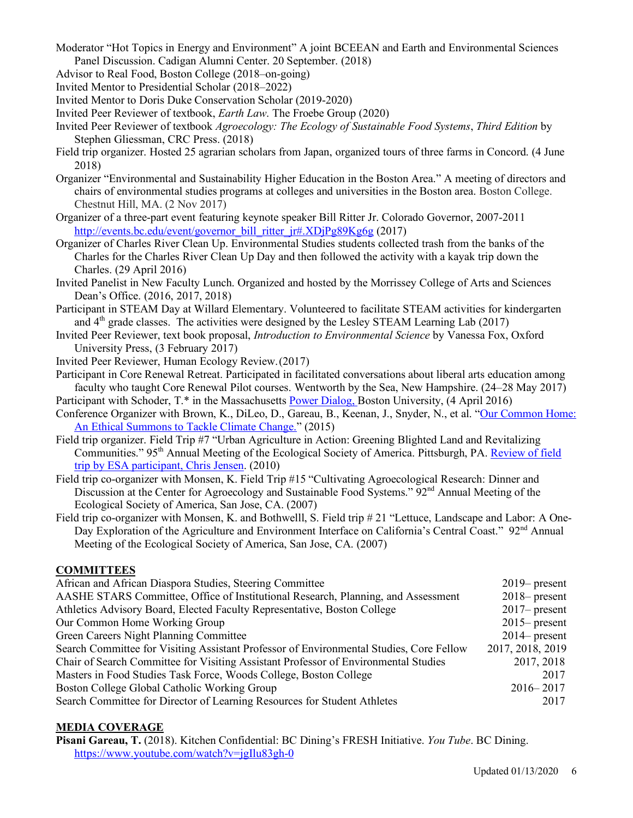- Moderator "Hot Topics in Energy and Environment" A joint BCEEAN and Earth and Environmental Sciences Panel Discussion. Cadigan Alumni Center. 20 September. (2018)
- Advisor to Real Food, Boston College (2018–on-going)
- Invited Mentor to Presidential Scholar (2018–2022)
- Invited Mentor to Doris Duke Conservation Scholar (2019-2020)
- Invited Peer Reviewer of textbook, *Earth Law*. The Froebe Group (2020)
- Invited Peer Reviewer of textbook *Agroecology: The Ecology of Sustainable Food Systems*, *Third Edition* by Stephen Gliessman, CRC Press. (2018)
- Field trip organizer. Hosted 25 agrarian scholars from Japan, organized tours of three farms in Concord. (4 June 2018)
- Organizer "Environmental and Sustainability Higher Education in the Boston Area." A meeting of directors and chairs of environmental studies programs at colleges and universities in the Boston area. Boston College. Chestnut Hill, MA. (2 Nov 2017)
- Organizer of a three-part event featuring keynote speaker Bill Ritter Jr. Colorado Governor, 2007-2011 http://events.bc.edu/event/governor\_bill\_ritter\_jr#.XDjPg89Kg6g (2017)
- Organizer of Charles River Clean Up. Environmental Studies students collected trash from the banks of the Charles for the Charles River Clean Up Day and then followed the activity with a kayak trip down the Charles. (29 April 2016)
- Invited Panelist in New Faculty Lunch. Organized and hosted by the Morrissey College of Arts and Sciences Dean's Office. (2016, 2017, 2018)
- Participant in STEAM Day at Willard Elementary. Volunteered to facilitate STEAM activities for kindergarten and  $4<sup>th</sup>$  grade classes. The activities were designed by the Lesley STEAM Learning Lab (2017)
- Invited Peer Reviewer, text book proposal, *Introduction to Environmental Science* by Vanessa Fox, Oxford University Press, (3 February 2017)
- Invited Peer Reviewer, Human Ecology Review.(2017)
- Participant in Core Renewal Retreat. Participated in facilitated conversations about liberal arts education among faculty who taught Core Renewal Pilot courses. Wentworth by the Sea, New Hampshire. (24–28 May 2017)
- Participant with Schoder, T.\* in the Massachusetts Power Dialog, Boston University, (4 April 2016)
- Conference Organizer with Brown, K., DiLeo, D., Gareau, B., Keenan, J., Snyder, N., et al. "Our Common Home: An Ethical Summons to Tackle Climate Change." (2015)
- Field trip organizer. Field Trip #7 "Urban Agriculture in Action: Greening Blighted Land and Revitalizing Communities." 95th Annual Meeting of the Ecological Society of America. Pittsburgh, PA. Review of field trip by ESA participant, Chris Jensen. (2010)
- Field trip co-organizer with Monsen, K. Field Trip #15 "Cultivating Agroecological Research: Dinner and Discussion at the Center for Agroecology and Sustainable Food Systems." 92<sup>nd</sup> Annual Meeting of the Ecological Society of America, San Jose, CA. (2007)
- Field trip co-organizer with Monsen, K. and Bothwelll, S. Field trip # 21 "Lettuce, Landscape and Labor: A One-Day Exploration of the Agriculture and Environment Interface on California's Central Coast." 92<sup>nd</sup> Annual Meeting of the Ecological Society of America, San Jose, CA. (2007)

## **COMMITTEES**

| African and African Diaspora Studies, Steering Committee                                | $2019$ present   |
|-----------------------------------------------------------------------------------------|------------------|
| AASHE STARS Committee, Office of Institutional Research, Planning, and Assessment       | $2018$ - present |
| Athletics Advisory Board, Elected Faculty Representative, Boston College                | $2017$ present   |
| Our Common Home Working Group                                                           | $2015$ present   |
| Green Careers Night Planning Committee                                                  | $2014$ present   |
| Search Committee for Visiting Assistant Professor of Environmental Studies, Core Fellow | 2017, 2018, 2019 |
| Chair of Search Committee for Visiting Assistant Professor of Environmental Studies     | 2017, 2018       |
| Masters in Food Studies Task Force, Woods College, Boston College                       | 2017             |
| Boston College Global Catholic Working Group                                            | $2016 - 2017$    |
| Search Committee for Director of Learning Resources for Student Athletes                | 2017             |
|                                                                                         |                  |

## **MEDIA COVERAGE**

**Pisani Gareau, T.** (2018). Kitchen Confidential: BC Dining's FRESH Initiative. *You Tube*. BC Dining. https://www.youtube.com/watch?v=jgIlu83gh-0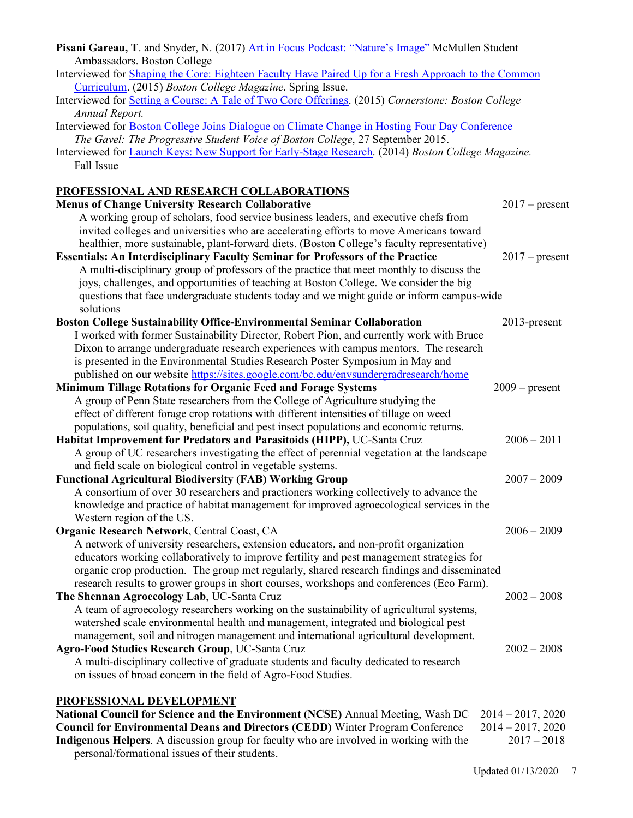| Pisani Gareau, T. and Snyder, N. (2017) Art in Focus Podcast: "Nature's Image" McMullen Student                                                                          |                     |  |  |  |
|--------------------------------------------------------------------------------------------------------------------------------------------------------------------------|---------------------|--|--|--|
| Ambassadors. Boston College                                                                                                                                              |                     |  |  |  |
| Interviewed for <b>Shaping the Core: Eighteen Faculty Have Paired Up for a Fresh Approach to the Common</b>                                                              |                     |  |  |  |
| Curriculum. (2015) Boston College Magazine. Spring Issue.                                                                                                                |                     |  |  |  |
| Interviewed for Setting a Course: A Tale of Two Core Offerings. (2015) Cornerstone: Boston College                                                                       |                     |  |  |  |
| Annual Report.                                                                                                                                                           |                     |  |  |  |
| Interviewed for Boston College Joins Dialogue on Climate Change in Hosting Four Day Conference                                                                           |                     |  |  |  |
| The Gavel: The Progressive Student Voice of Boston College, 27 September 2015.                                                                                           |                     |  |  |  |
| Interviewed for Launch Keys: New Support for Early-Stage Research. (2014) Boston College Magazine.                                                                       |                     |  |  |  |
| Fall Issue                                                                                                                                                               |                     |  |  |  |
|                                                                                                                                                                          |                     |  |  |  |
| PROFESSIONAL AND RESEARCH COLLABORATIONS                                                                                                                                 |                     |  |  |  |
| <b>Menus of Change University Research Collaborative</b>                                                                                                                 | $2017$ – present    |  |  |  |
| A working group of scholars, food service business leaders, and executive chefs from                                                                                     |                     |  |  |  |
| invited colleges and universities who are accelerating efforts to move Americans toward                                                                                  |                     |  |  |  |
| healthier, more sustainable, plant-forward diets. (Boston College's faculty representative)                                                                              |                     |  |  |  |
| <b>Essentials: An Interdisciplinary Faculty Seminar for Professors of the Practice</b>                                                                                   | $2017$ – present    |  |  |  |
| A multi-disciplinary group of professors of the practice that meet monthly to discuss the                                                                                |                     |  |  |  |
| joys, challenges, and opportunities of teaching at Boston College. We consider the big                                                                                   |                     |  |  |  |
| questions that face undergraduate students today and we might guide or inform campus-wide                                                                                |                     |  |  |  |
| solutions                                                                                                                                                                |                     |  |  |  |
| <b>Boston College Sustainability Office-Environmental Seminar Collaboration</b>                                                                                          | 2013-present        |  |  |  |
| I worked with former Sustainability Director, Robert Pion, and currently work with Bruce                                                                                 |                     |  |  |  |
| Dixon to arrange undergraduate research experiences with campus mentors. The research                                                                                    |                     |  |  |  |
| is presented in the Environmental Studies Research Poster Symposium in May and                                                                                           |                     |  |  |  |
| published on our website https://sites.google.com/bc.edu/envsundergradresearch/home                                                                                      |                     |  |  |  |
| <b>Minimum Tillage Rotations for Organic Feed and Forage Systems</b>                                                                                                     | $2009$ – present    |  |  |  |
| A group of Penn State researchers from the College of Agriculture studying the                                                                                           |                     |  |  |  |
| effect of different forage crop rotations with different intensities of tillage on weed                                                                                  |                     |  |  |  |
| populations, soil quality, beneficial and pest insect populations and economic returns.                                                                                  |                     |  |  |  |
| Habitat Improvement for Predators and Parasitoids (HIPP), UC-Santa Cruz                                                                                                  | $2006 - 2011$       |  |  |  |
| A group of UC researchers investigating the effect of perennial vegetation at the landscape                                                                              |                     |  |  |  |
| and field scale on biological control in vegetable systems.                                                                                                              |                     |  |  |  |
| <b>Functional Agricultural Biodiversity (FAB) Working Group</b>                                                                                                          | $2007 - 2009$       |  |  |  |
| A consortium of over 30 researchers and practioners working collectively to advance the                                                                                  |                     |  |  |  |
| knowledge and practice of habitat management for improved agroecological services in the                                                                                 |                     |  |  |  |
| Western region of the US.                                                                                                                                                |                     |  |  |  |
| Organic Research Network, Central Coast, CA                                                                                                                              | $2006 - 2009$       |  |  |  |
| A network of university researchers, extension educators, and non-profit organization                                                                                    |                     |  |  |  |
| educators working collaboratively to improve fertility and pest management strategies for                                                                                |                     |  |  |  |
| organic crop production. The group met regularly, shared research findings and disseminated                                                                              |                     |  |  |  |
| research results to grower groups in short courses, workshops and conferences (Eco Farm).                                                                                |                     |  |  |  |
| The Shennan Agroecology Lab, UC-Santa Cruz                                                                                                                               | $2002 - 2008$       |  |  |  |
| A team of agroecology researchers working on the sustainability of agricultural systems,                                                                                 |                     |  |  |  |
| watershed scale environmental health and management, integrated and biological pest                                                                                      |                     |  |  |  |
| management, soil and nitrogen management and international agricultural development.                                                                                     |                     |  |  |  |
| Agro-Food Studies Research Group, UC-Santa Cruz                                                                                                                          | $2002 - 2008$       |  |  |  |
| A multi-disciplinary collective of graduate students and faculty dedicated to research                                                                                   |                     |  |  |  |
| on issues of broad concern in the field of Agro-Food Studies.                                                                                                            |                     |  |  |  |
|                                                                                                                                                                          |                     |  |  |  |
| <b>PROFESSIONAL DEVELOPMENT</b>                                                                                                                                          |                     |  |  |  |
| National Council for Science and the Environment (NCSE) Annual Meeting, Wash DC<br><b>Council for Environmental Deans and Directors (CEDD)</b> Winter Program Conference | $2014 - 2017, 2020$ |  |  |  |
| $2014 - 2017, 2020$<br>$2017 - 2018$                                                                                                                                     |                     |  |  |  |
| Indigenous Helpers. A discussion group for faculty who are involved in working with the                                                                                  |                     |  |  |  |

personal/formational issues of their students.